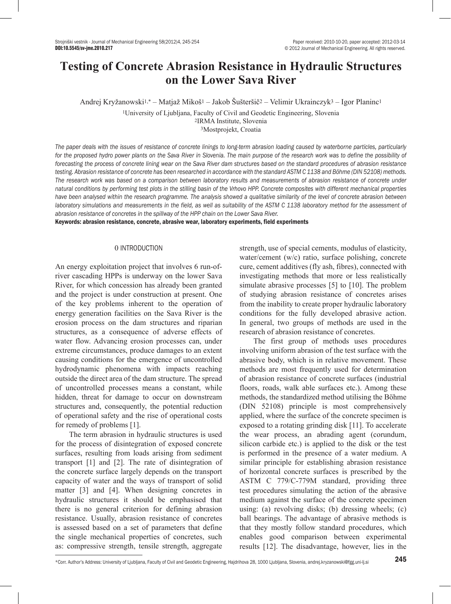# **Testing of Concrete Abrasion Resistance in Hydraulic Structures on the Lower Sava River**

Andrej Kryžanowski1,\* – Matjaž Mikoš1 – Jakob Šušteršič2 – Velimir Ukrainczyk3 – Igor Planinc<sup>1</sup>

<sup>1</sup>University of Ljubljana, Faculty of Civil and Geodetic Engineering, Slovenia <sup>2</sup>IRMA Institute, Slovenia

<sup>3</sup>Mostprojekt, Croatia

*The paper deals with the issues of resistance of concrete linings to long-term abrasion loading caused by waterborne particles, particularly*  for the proposed hydro power plants on the Sava River in Slovenia. The main purpose of the research work was to define the possibility of *forecasting the process of concrete lining wear on the Sava River dam structures based on the standard procedures of abrasion resistance testing. Abrasion resistance of concrete has been researched in accordance with the standard ASTM C 1138 and Böhme (DIN 52108) methods. The research work was based on a comparison between laboratory results and measurements of abrasion resistance of concrete under natural conditions by performing test plots in the stilling basin of the Vrhovo HPP. Concrete composites with different mechanical properties have been analysed within the research programme. The analysis showed a qualitative similarity of the level of concrete abrasion between laboratory simulations and measurements in the field, as well as suitability of the ASTM C 1138 laboratory method for the assessment of abrasion resistance of concretes in the spillway of the HPP chain on the Lower Sava River.*

Keywords: abrasion resistance, concrete, abrasive wear, laboratory experiments, field experiments

# 0 INTRODUCTION

An energy exploitation project that involves 6 run-ofriver cascading HPPs is underway on the lower Sava River, for which concession has already been granted and the project is under construction at present. One of the key problems inherent to the operation of energy generation facilities on the Sava River is the erosion process on the dam structures and riparian structures, as a consequence of adverse effects of water flow. Advancing erosion processes can, under extreme circumstances, produce damages to an extent causing conditions for the emergence of uncontrolled hydrodynamic phenomena with impacts reaching outside the direct area of the dam structure. The spread of uncontrolled processes means a constant, while hidden, threat for damage to occur on downstream structures and, consequently, the potential reduction of operational safety and the rise of operational costs for remedy of problems [1].

The term abrasion in hydraulic structures is used for the process of disintegration of exposed concrete surfaces, resulting from loads arising from sediment transport [1] and [2]. The rate of disintegration of the concrete surface largely depends on the transport capacity of water and the ways of transport of solid matter [3] and [4]. When designing concretes in hydraulic structures it should be emphasised that there is no general criterion for defining abrasion resistance. Usually, abrasion resistance of concretes is assessed based on a set of parameters that define the single mechanical properties of concretes, such as: compressive strength, tensile strength, aggregate

strength, use of special cements, modulus of elasticity, water/cement (w/c) ratio, surface polishing, concrete cure, cement additives (fly ash, fibres), connected with investigating methods that more or less realistically simulate abrasive processes [5] to [10]. The problem of studying abrasion resistance of concretes arises from the inability to create proper hydraulic laboratory conditions for the fully developed abrasive action. In general, two groups of methods are used in the research of abrasion resistance of concretes.

The first group of methods uses procedures involving uniform abrasion of the test surface with the abrasive body, which is in relative movement. These methods are most frequently used for determination of abrasion resistance of concrete surfaces (industrial floors, roads, walk able surfaces etc.). Among these methods, the standardized method utilising the Böhme (DIN 52108) principle is most comprehensively applied, where the surface of the concrete specimen is exposed to a rotating grinding disk [11]. To accelerate the wear process, an abrading agent (corundum, silicon carbide etc.) is applied to the disk or the test is performed in the presence of a water medium. A similar principle for establishing abrasion resistance of horizontal concrete surfaces is prescribed by the ASTM C 779/C-779M standard, providing three test procedures simulating the action of the abrasive medium against the surface of the concrete specimen using: (a) revolving disks; (b) dressing wheels; (c) ball bearings. The advantage of abrasive methods is that they mostly follow standard procedures, which enables good comparison between experimental results [12]. The disadvantage, however, lies in the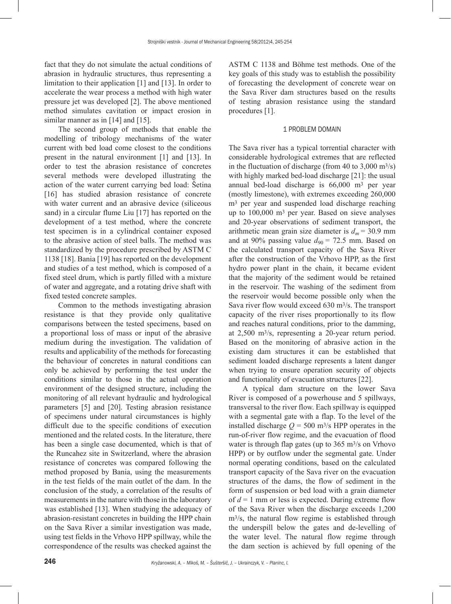fact that they do not simulate the actual conditions of abrasion in hydraulic structures, thus representing a limitation to their application [1] and [13]. In order to accelerate the wear process a method with high water pressure jet was developed [2]. The above mentioned method simulates cavitation or impact erosion in similar manner as in [14] and [15].

The second group of methods that enable the modelling of tribology mechanisms of the water current with bed load come closest to the conditions present in the natural environment [1] and [13]. In order to test the abrasion resistance of concretes several methods were developed illustrating the action of the water current carrying bed load: Šetina [16] has studied abrasion resistance of concrete with water current and an abrasive device (siliceous sand) in a circular flume Liu [17] has reported on the development of a test method, where the concrete test specimen is in a cylindrical container exposed to the abrasive action of steel balls. The method was standardized by the procedure prescribed by ASTM C 1138 [18]. Bania [19] has reported on the development and studies of a test method, which is composed of a fixed steel drum, which is partly filled with a mixture of water and aggregate, and a rotating drive shaft with fixed tested concrete samples.

Common to the methods investigating abrasion resistance is that they provide only qualitative comparisons between the tested specimens, based on a proportional loss of mass or input of the abrasive medium during the investigation. The validation of results and applicability of the methods for forecasting the behaviour of concretes in natural conditions can only be achieved by performing the test under the conditions similar to those in the actual operation environment of the designed structure, including the monitoring of all relevant hydraulic and hydrological parameters [5] and [20]. Testing abrasion resistance of specimens under natural circumstances is highly difficult due to the specific conditions of execution mentioned and the related costs. In the literature, there has been a single case documented, which is that of the Runcahez site in Switzerland, where the abrasion resistance of concretes was compared following the method proposed by Bania, using the measurements in the test fields of the main outlet of the dam. In the conclusion of the study, a correlation of the results of measurements in the nature with those in the laboratory was established [13]. When studying the adequacy of abrasion-resistant concretes in building the HPP chain on the Sava River a similar investigation was made, using test fields in the Vrhovo HPP spillway, while the correspondence of the results was checked against the ASTM C 1138 and Böhme test methods. One of the key goals of this study was to establish the possibility of forecasting the development of concrete wear on the Sava River dam structures based on the results of testing abrasion resistance using the standard procedures [1].

#### 1 PROBLEM DOMAIN

The Sava river has a typical torrential character with considerable hydrological extremes that are reflected in the fluctuation of discharge (from 40 to  $3,000 \text{ m}^3/\text{s}$ ) with highly marked bed-load discharge [21]: the usual annual bed-load discharge is 66,000 m3 per year (mostly limestone), with extremes exceeding 260,000 m3 per year and suspended load discharge reaching up to 100,000 m3 per year. Based on sieve analyses and 20-year observations of sediment transport, the arithmetic mean grain size diameter is  $d_m$  = 30.9 mm and at 90% passing value  $d_{90}$  = 72.5 mm. Based on the calculated transport capacity of the Sava River after the construction of the Vrhovo HPP, as the first hydro power plant in the chain, it became evident that the majority of the sediment would be retained in the reservoir. The washing of the sediment from the reservoir would become possible only when the Sava river flow would exceed 630 m3/s. The transport capacity of the river rises proportionally to its flow and reaches natural conditions, prior to the damming, at 2,500 m3/s, representing a 20-year return period. Based on the monitoring of abrasive action in the existing dam structures it can be established that sediment loaded discharge represents a latent danger when trying to ensure operation security of objects and functionality of evacuation structures [22].

A typical dam structure on the lower Sava River is composed of a powerhouse and 5 spillways, transversal to the river flow. Each spillway is equipped with a segmental gate with a flap. To the level of the installed discharge  $Q = 500$  m<sup>3</sup>/s HPP operates in the run-of-river flow regime, and the evacuation of flood water is through flap gates (up to 365 m<sup>3</sup>/s on Vrhovo HPP) or by outflow under the segmental gate. Under normal operating conditions, based on the calculated transport capacity of the Sava river on the evacuation structures of the dams, the flow of sediment in the form of suspension or bed load with a grain diameter of  $d = 1$  mm or less is expected. During extreme flow of the Sava River when the discharge exceeds 1,200 m3/s, the natural flow regime is established through the underspill below the gates and de-levelling of the water level. The natural flow regime through the dam section is achieved by full opening of the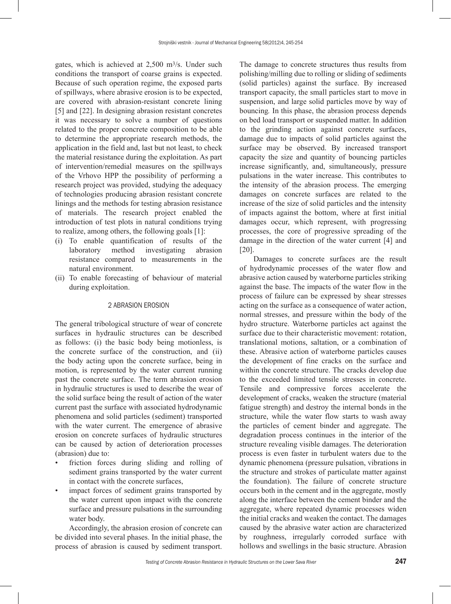gates, which is achieved at 2,500 m3/s. Under such conditions the transport of coarse grains is expected. Because of such operation regime, the exposed parts of spillways, where abrasive erosion is to be expected, are covered with abrasion-resistant concrete lining [5] and [22]. In designing abrasion resistant concretes it was necessary to solve a number of questions related to the proper concrete composition to be able to determine the appropriate research methods, the application in the field and, last but not least, to check the material resistance during the exploitation. As part of intervention/remedial measures on the spillways of the Vrhovo HPP the possibility of performing a research project was provided, studying the adequacy of technologies producing abrasion resistant concrete linings and the methods for testing abrasion resistance of materials. The research project enabled the introduction of test plots in natural conditions trying to realize, among others, the following goals [1]:

- (i) To enable quantification of results of the laboratory method investigating abrasion resistance compared to measurements in the natural environment.
- (ii) To enable forecasting of behaviour of material during exploitation.

### 2 ABRASION EROSION

The general tribological structure of wear of concrete surfaces in hydraulic structures can be described as follows: (i) the basic body being motionless, is the concrete surface of the construction, and (ii) the body acting upon the concrete surface, being in motion, is represented by the water current running past the concrete surface. The term abrasion erosion in hydraulic structures is used to describe the wear of the solid surface being the result of action of the water current past the surface with associated hydrodynamic phenomena and solid particles (sediment) transported with the water current. The emergence of abrasive erosion on concrete surfaces of hydraulic structures can be caused by action of deterioration processes (abrasion) due to:

- friction forces during sliding and rolling of sediment grains transported by the water current in contact with the concrete surfaces,
- impact forces of sediment grains transported by the water current upon impact with the concrete surface and pressure pulsations in the surrounding water body.

Accordingly, the abrasion erosion of concrete can be divided into several phases. In the initial phase, the process of abrasion is caused by sediment transport. The damage to concrete structures thus results from polishing/milling due to rolling or sliding of sediments (solid particles) against the surface. By increased transport capacity, the small particles start to move in suspension, and large solid particles move by way of bouncing*.* In this phase, the abrasion process depends on bed load transport or suspended matter. In addition to the grinding action against concrete surfaces, damage due to impacts of solid particles against the surface may be observed. By increased transport capacity the size and quantity of bouncing particles increase significantly, and, simultaneously, pressure pulsations in the water increase. This contributes to the intensity of the abrasion process. The emerging damages on concrete surfaces are related to the increase of the size of solid particles and the intensity of impacts against the bottom, where at first initial damages occur, which represent, with progressing processes, the core of progressive spreading of the damage in the direction of the water current [4] and [20].

Damages to concrete surfaces are the result of hydrodynamic processes of the water flow and abrasive action caused by waterborne particles striking against the base. The impacts of the water flow in the process of failure can be expressed by shear stresses acting on the surface as a consequence of water action, normal stresses, and pressure within the body of the hydro structure. Waterborne particles act against the surface due to their characteristic movement: rotation, translational motions, saltation, or a combination of these. Abrasive action of waterborne particles causes the development of fine cracks on the surface and within the concrete structure. The cracks develop due to the exceeded limited tensile stresses in concrete. Tensile and compressive forces accelerate the development of cracks, weaken the structure (material fatigue strength) and destroy the internal bonds in the structure, while the water flow starts to wash away the particles of cement binder and aggregate. The degradation process continues in the interior of the structure revealing visible damages. The deterioration process is even faster in turbulent waters due to the dynamic phenomena (pressure pulsation, vibrations in the structure and strokes of particulate matter against the foundation). The failure of concrete structure occurs both in the cement and in the aggregate, mostly along the interface between the cement binder and the aggregate, where repeated dynamic processes widen the initial cracks and weaken the contact. The damages caused by the abrasive water action are characterized by roughness, irregularly corroded surface with hollows and swellings in the basic structure. Abrasion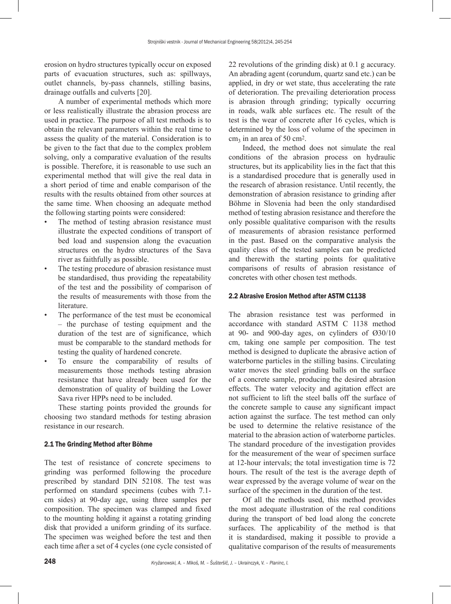erosion on hydro structures typically occur on exposed parts of evacuation structures, such as: spillways, outlet channels, by-pass channels, stilling basins, drainage outfalls and culverts [20].

A number of experimental methods which more or less realistically illustrate the abrasion process are used in practice. The purpose of all test methods is to obtain the relevant parameters within the real time to assess the quality of the material. Consideration is to be given to the fact that due to the complex problem solving, only a comparative evaluation of the results is possible. Therefore, it is reasonable to use such an experimental method that will give the real data in a short period of time and enable comparison of the results with the results obtained from other sources at the same time. When choosing an adequate method the following starting points were considered:

- The method of testing abrasion resistance must illustrate the expected conditions of transport of bed load and suspension along the evacuation structures on the hydro structures of the Sava river as faithfully as possible.
- The testing procedure of abrasion resistance must be standardised, thus providing the repeatability of the test and the possibility of comparison of the results of measurements with those from the literature.
- The performance of the test must be economical – the purchase of testing equipment and the duration of the test are of significance, which must be comparable to the standard methods for testing the quality of hardened concrete.
- To ensure the comparability of results of measurements those methods testing abrasion resistance that have already been used for the demonstration of quality of building the Lower Sava river HPPs need to be included.

These starting points provided the grounds for choosing two standard methods for testing abrasion resistance in our research.

#### 2.1 The Grinding Method after Böhme

The test of resistance of concrete specimens to grinding was performed following the procedure prescribed by standard DIN 52108. The test was performed on standard specimens (cubes with 7.1 cm sides) at 90-day age, using three samples per composition. The specimen was clamped and fixed to the mounting holding it against a rotating grinding disk that provided a uniform grinding of its surface. The specimen was weighed before the test and then each time after a set of 4 cycles (one cycle consisted of 22 revolutions of the grinding disk) at 0.1 g accuracy. An abrading agent (corundum, quartz sand etc.) can be applied, in dry or wet state, thus accelerating the rate of deterioration. The prevailing deterioration process is abrasion through grinding; typically occurring in roads, walk able surfaces etc. The result of the test is the wear of concrete after 16 cycles, which is determined by the loss of volume of the specimen in  $cm<sub>3</sub>$  in an area of 50 cm<sup>2</sup>.

Indeed, the method does not simulate the real conditions of the abrasion process on hydraulic structures, but its applicability lies in the fact that this is a standardised procedure that is generally used in the research of abrasion resistance. Until recently, the demonstration of abrasion resistance to grinding after Böhme in Slovenia had been the only standardised method of testing abrasion resistance and therefore the only possible qualitative comparison with the results of measurements of abrasion resistance performed in the past. Based on the comparative analysis the quality class of the tested samples can be predicted and therewith the starting points for qualitative comparisons of results of abrasion resistance of concretes with other chosen test methods.

#### 2.2 Abrasive Erosion Method after ASTM C1138

The abrasion resistance test was performed in accordance with standard ASTM C 1138 method at 90- and 900-day ages, on cylinders of Ø30/10 cm, taking one sample per composition. The test method is designed to duplicate the abrasive action of waterborne particles in the stilling basins. Circulating water moves the steel grinding balls on the surface of a concrete sample, producing the desired abrasion effects. The water velocity and agitation effect are not sufficient to lift the steel balls off the surface of the concrete sample to cause any significant impact action against the surface. The test method can only be used to determine the relative resistance of the material to the abrasion action of waterborne particles. The standard procedure of the investigation provides for the measurement of the wear of specimen surface at 12-hour intervals; the total investigation time is 72 hours. The result of the test is the average depth of wear expressed by the average volume of wear on the surface of the specimen in the duration of the test.

Of all the methods used, this method provides the most adequate illustration of the real conditions during the transport of bed load along the concrete surfaces. The applicability of the method is that it is standardised, making it possible to provide a qualitative comparison of the results of measurements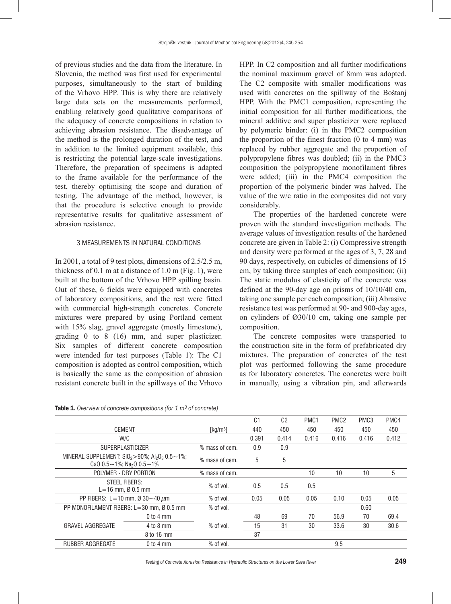of previous studies and the data from the literature. In Slovenia, the method was first used for experimental purposes, simultaneously to the start of building of the Vrhovo HPP. This is why there are relatively large data sets on the measurements performed, enabling relatively good qualitative comparisons of the adequacy of concrete compositions in relation to achieving abrasion resistance. The disadvantage of the method is the prolonged duration of the test, and in addition to the limited equipment available, this is restricting the potential large-scale investigations. Therefore, the preparation of specimens is adapted to the frame available for the performance of the test, thereby optimising the scope and duration of testing. The advantage of the method, however, is that the procedure is selective enough to provide representative results for qualitative assessment of abrasion resistance.

#### 3 MEASUREMENTS IN NATURAL CONDITIONS

In 2001, a total of 9 test plots, dimensions of 2.5/2.5 m, thickness of 0.1 m at a distance of 1.0 m (Fig. 1), were built at the bottom of the Vrhovo HPP spilling basin. Out of these, 6 fields were equipped with concretes of laboratory compositions, and the rest were fitted with commercial high-strength concretes. Concrete mixtures were prepared by using Portland cement with 15% slag, gravel aggregate (mostly limestone), grading 0 to 8 (16) mm, and super plasticizer. Six samples of different concrete composition were intended for test purposes (Table 1): The C1 composition is adopted as control composition, which is basically the same as the composition of abrasion resistant concrete built in the spillways of the Vrhovo

Table 1. *Overview of concrete compositions (for 1 m3 of concrete)*

HPP. In C2 composition and all further modifications the nominal maximum gravel of 8mm was adopted. The C2 composite with smaller modifications was used with concretes on the spillway of the Boštanj HPP. With the PMC1 composition, representing the initial composition for all further modifications, the mineral additive and super plasticizer were replaced by polymeric binder: (i) in the PMC2 composition the proportion of the finest fraction  $(0 \text{ to } 4 \text{ mm})$  was replaced by rubber aggregate and the proportion of polypropylene fibres was doubled; (ii) in the PMC3 composition the polypropylene monofilament fibres were added; (iii) in the PMC4 composition the proportion of the polymeric binder was halved. The value of the w/c ratio in the composites did not vary considerably.

The properties of the hardened concrete were proven with the standard investigation methods. The average values of investigation results of the hardened concrete are given in Table 2: (i) Compressive strength and density were performed at the ages of 3, 7, 28 and 90 days, respectively, on cubicles of dimensions of 15 cm, by taking three samples of each composition; (ii) The static modulus of elasticity of the concrete was defined at the 90-day age on prisms of 10/10/40 cm, taking one sample per each composition; (iii) Abrasive resistance test was performed at 90- and 900-day ages, on cylinders of Ø30/10 cm, taking one sample per composition.

The concrete composites were transported to the construction site in the form of prefabricated dry mixtures. The preparation of concretes of the test plot was performed following the same procedure as for laboratory concretes. The concretes were built in manually, using a vibration pin, and afterwards

|                                                                                                             |               |                                             | C <sub>1</sub> | C <sub>2</sub> | PMC <sub>1</sub> | PMC <sub>2</sub> | PMC <sub>3</sub> | PMC4  |
|-------------------------------------------------------------------------------------------------------------|---------------|---------------------------------------------|----------------|----------------|------------------|------------------|------------------|-------|
| <b>CEMENT</b>                                                                                               |               | $\left[\frac{\text{kg}}{\text{m}^3}\right]$ | 440            | 450            | 450              | 450              | 450              | 450   |
| W/C                                                                                                         |               |                                             | 0.391          | 0.414          | 0.416            | 0.416            | 0.416            | 0.412 |
| <b>SUPERPLASTICIZER</b>                                                                                     |               | % mass of cem.                              | 0.9            | 0.9            |                  |                  |                  |       |
| MINERAL SUPPLEMENT: $SiO_2 > 90\%$ ; $Al_2O_3$ 0.5 ~ 1%;<br>CaO $0.5 - 1\%$ ; Na <sub>2</sub> O $0.5 - 1\%$ |               | % mass of cem.                              | 5              | 5              |                  |                  |                  |       |
| POLYMER - DRY PORTION                                                                                       |               | % mass of cem.                              |                |                | 10               | 10               | 10               | 5     |
| STEEL FIBERS:<br>$L = 16$ mm, $\varnothing$ 0.5 mm                                                          |               | $%$ of vol.                                 | 0.5            | 0.5            | 0.5              |                  |                  |       |
| PP FIBERS: L=10 mm, Ø 30 $\sim$ 40 $\mu$ m                                                                  |               | % of vol.                                   | 0.05           | 0.05           | 0.05             | 0.10             | 0.05             | 0.05  |
| PP MONOFILAMENT FIBERS: L=30 mm, Ø 0.5 mm                                                                   |               | % of vol.                                   |                |                |                  |                  | 0.60             |       |
| <b>GRAVEL AGGREGATE</b>                                                                                     | $0$ to $4$ mm | % of vol.                                   | 48             | 69             | 70               | 56.9             | 70               | 69.4  |
|                                                                                                             | $4$ to $8$ mm |                                             | 15             | 31             | 30               | 33.6             | 30               | 30.6  |
|                                                                                                             | 8 to 16 mm    |                                             | 37             |                |                  |                  |                  |       |
| <b>RUBBER AGGREGATE</b>                                                                                     | $0$ to $4$ mm | $%$ of vol.                                 |                |                |                  | 9.5              |                  |       |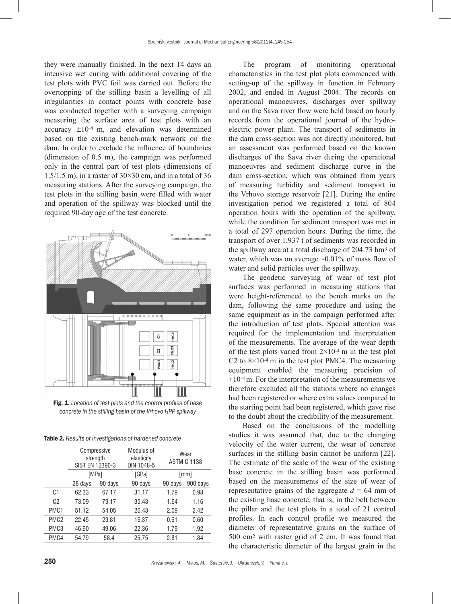they were manually finished. In the next 14 days an intensive wet curing with additional covering of the test plots with PVC foil was carried out. Before the overtopping of the stilling basin a levelling of all irregularities in contact points with concrete base was conducted together with a surveying campaign measuring the surface area of test plots with an accuracy ±10-4 m, and elevation was determined based on the existing bench-mark network on the dam. In order to exclude the influence of boundaries (dimension of 0.5 m), the campaign was performed only in the central part of test plots (dimensions of 1.5/1.5 m), in a raster of  $30 \times 30$  cm, and in a total of 36 measuring stations. After the surveying campaign, the test plots in the stilling basin were filled with water and operation of the spillway was blocked until the required 90-day age of the test concrete.



Fig. 1. *Location of test plots and the control profiles of base concrete in the stilling basin of the Vrhovo HPP spillway*

| <b>Table 2.</b> Results of investigations of hardened concrete |  |  |
|----------------------------------------------------------------|--|--|
|----------------------------------------------------------------|--|--|

|                  | Compressive<br>strength<br>SIST EN 12390-3 |         | Modulus of<br>elasticity<br>DIN 1048-5 | Wear<br><b>ASTM C 1138</b> |          |
|------------------|--------------------------------------------|---------|----------------------------------------|----------------------------|----------|
|                  | [MPa]                                      |         | [GPa]                                  | [mm]                       |          |
|                  | 28 days                                    | 90 days | 90 days                                | 90 days                    | 900 days |
| C <sub>1</sub>   | 62.33                                      | 67.17   | 31.17                                  | 1.79                       | 0.98     |
| C <sub>2</sub>   | 73.09                                      | 79.17   | 35.43                                  | 1.64                       | 1.16     |
| PMC <sub>1</sub> | 51.12                                      | 54.05   | 26.43                                  | 2.09                       | 2.42     |
| PMC <sub>2</sub> | 22.45                                      | 23.81   | 16.37                                  | 0.61                       | 0.60     |
| PMC <sub>3</sub> | 46.90                                      | 49.06   | 22.36                                  | 1.79                       | 1.92     |
| PMC4             | 54.79                                      | 58.4    | 25.75                                  | 2.81                       | 1.84     |
|                  |                                            |         |                                        |                            |          |

The program of monitoring operational characteristics in the test plot plots commenced with setting-up of the spillway in function in February 2002, and ended in August 2004. The records on operational manoeuvres, discharges over spillway and on the Sava river flow were held based on hourly records from the operational journal of the hydroelectric power plant. The transport of sediments in the dam cross-section was not directly monitored, but an assessment was performed based on the known discharges of the Sava river during the operational manoeuvres and sediment discharge curve in the dam cross-section, which was obtained from years of measuring turbidity and sediment transport in the Vrhovo storage reservoir [21]. During the entire investigation period we registered a total of 804 operation hours with the operation of the spillway, while the condition for sediment transport was met in a total of 297 operation hours. During the time, the transport of over 1,937 t of sediments was recorded in the spillway area at a total discharge of 204.73 hm3 of water, which was on average  $\sim 0.01\%$  of mass flow of water and solid particles over the spillway.

The geodetic surveying of wear of test plot surfaces was performed in measuring stations that were height-referenced to the bench marks on the dam, following the same procedure and using the same equipment as in the campaign performed after the introduction of test plots. Special attention was required for the implementation and interpretation of the measurements. The average of the wear depth of the test plots varied from  $2\times10^{-4}$  m in the test plot C2 to  $8\times10^{-4}$  m in the test plot PMC4. The measuring equipment enabled the measuring precision of  $\pm 10^{-4}$  m. For the interpretation of the measurements we therefore excluded all the stations where no changes had been registered or where extra values compared to the starting point had been registered, which gave rise to the doubt about the credibility of the measurement.

Based on the conclusions of the modelling studies it was assumed that, due to the changing velocity of the water current, the wear of concrete surfaces in the stilling basin cannot be uniform [22]. The estimate of the scale of the wear of the existing base concrete in the stilling basin was performed based on the measurements of the size of wear of representative grains of the aggregate  $d = 64$  mm of the existing base concrete, that is, in the belt between the pillar and the test plots in a total of 21 control profiles. In each control profile we measured the diameter of representative grains on the surface of 500 cm2 with raster grid of 2 cm. It was found that the characteristic diameter of the largest grain in the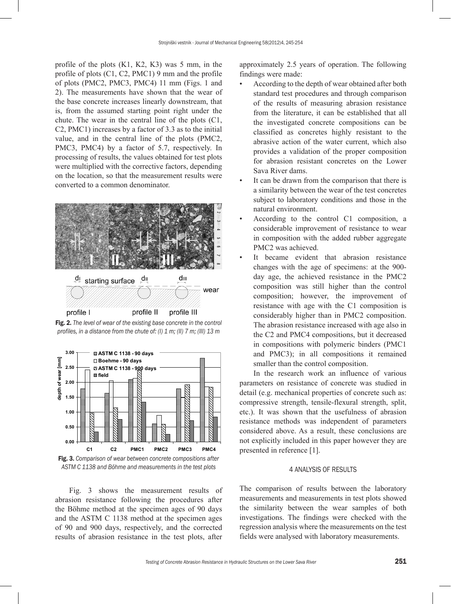profile of the plots (K1, K2, K3) was 5 mm, in the profile of plots (C1, C2, PMC1) 9 mm and the profile of plots (PMC2, PMC3, PMC4) 11 mm (Figs. 1 and 2). The measurements have shown that the wear of the base concrete increases linearly downstream, that is, from the assumed starting point right under the chute. The wear in the central line of the plots (C1, C2, PMC1) increases by a factor of 3.3 as to the initial value, and in the central line of the plots (PMC2, PMC3, PMC4) by a factor of 5.7, respectively. In processing of results, the values obtained for test plots were multiplied with the corrective factors, depending on the location, so that the measurement results were converted to a common denominator.



Fig. 2. *The level of wear of the existing base concrete in the control profiles, in a distance from the chute of: (I) 1 m; (II) 7 m; (III) 13 m*





Fig. 3 shows the measurement results of abrasion resistance following the procedures after the Böhme method at the specimen ages of 90 days and the ASTM C 1138 method at the specimen ages of 90 and 900 days, respectively, and the corrected results of abrasion resistance in the test plots, after

approximately 2.5 years of operation. The following findings were made:

- According to the depth of wear obtained after both standard test procedures and through comparison of the results of measuring abrasion resistance from the literature, it can be established that all the investigated concrete compositions can be classified as concretes highly resistant to the abrasive action of the water current, which also provides a validation of the proper composition for abrasion resistant concretes on the Lower Sava River dams.
- It can be drawn from the comparison that there is a similarity between the wear of the test concretes subject to laboratory conditions and those in the natural environment.
- According to the control C1 composition, a considerable improvement of resistance to wear in composition with the added rubber aggregate PMC2 was achieved.
- It became evident that abrasion resistance changes with the age of specimens: at the 900 day age, the achieved resistance in the PMC2 composition was still higher than the control composition; however, the improvement of resistance with age with the C1 composition is considerably higher than in PMC2 composition. The abrasion resistance increased with age also in the C2 and PMC4 compositions, but it decreased in compositions with polymeric binders (PMC1 and PMC3); in all compositions it remained smaller than the control composition.

In the research work an influence of various parameters on resistance of concrete was studied in detail (e.g. mechanical properties of concrete such as: compressive strength, tensile-flexural strength, split, etc.). It was shown that the usefulness of abrasion resistance methods was independent of parameters considered above. As a result, these conclusions are not explicitly included in this paper however they are presented in reference [1].

#### 4 ANALYSIS OF RESULTS

The comparison of results between the laboratory measurements and measurements in test plots showed the similarity between the wear samples of both investigations. The findings were checked with the regression analysis where the measurements on the test fields were analysed with laboratory measurements.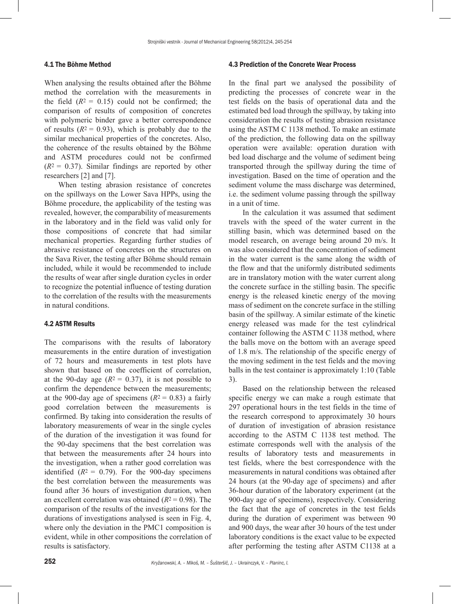#### 4.1 The Böhme Method

When analysing the results obtained after the Böhme method the correlation with the measurements in the field  $(R^2 = 0.15)$  could not be confirmed; the comparison of results of composition of concretes with polymeric binder gave a better correspondence of results  $(R^2 = 0.93)$ , which is probably due to the similar mechanical properties of the concretes. Also, the coherence of the results obtained by the Böhme and ASTM procedures could not be confirmed  $(R<sup>2</sup> = 0.37)$ . Similar findings are reported by other researchers [2] and [7].

When testing abrasion resistance of concretes on the spillways on the Lower Sava HPPs, using the Böhme procedure, the applicability of the testing was revealed, however, the comparability of measurements in the laboratory and in the field was valid only for those compositions of concrete that had similar mechanical properties. Regarding further studies of abrasive resistance of concretes on the structures on the Sava River, the testing after Böhme should remain included, while it would be recommended to include the results of wear after single duration cycles in order to recognize the potential influence of testing duration to the correlation of the results with the measurements in natural conditions.

#### 4.2 ASTM Results

The comparisons with the results of laboratory measurements in the entire duration of investigation of 72 hours and measurements in test plots have shown that based on the coefficient of correlation, at the 90-day age  $(R^2 = 0.37)$ , it is not possible to confirm the dependence between the measurements; at the 900-day age of specimens  $(R^2 = 0.83)$  a fairly good correlation between the measurements is confirmed. By taking into consideration the results of laboratory measurements of wear in the single cycles of the duration of the investigation it was found for the 90-day specimens that the best correlation was that between the measurements after 24 hours into the investigation, when a rather good correlation was identified  $(R^2 = 0.79)$ . For the 900-day specimens the best correlation between the measurements was found after 36 hours of investigation duration, when an excellent correlation was obtained  $(R^2 = 0.98)$ . The comparison of the results of the investigations for the durations of investigations analysed is seen in Fig. 4, where only the deviation in the PMC1 composition is evident, while in other compositions the correlation of results is satisfactory.

#### 4.3 Prediction of the Concrete Wear Process

In the final part we analysed the possibility of predicting the processes of concrete wear in the test fields on the basis of operational data and the estimated bed load through the spillway, by taking into consideration the results of testing abrasion resistance using the ASTM C 1138 method. To make an estimate of the prediction, the following data on the spillway operation were available: operation duration with bed load discharge and the volume of sediment being transported through the spillway during the time of investigation. Based on the time of operation and the sediment volume the mass discharge was determined, i.e. the sediment volume passing through the spillway in a unit of time.

In the calculation it was assumed that sediment travels with the speed of the water current in the stilling basin, which was determined based on the model research, on average being around 20 m/s. It was also considered that the concentration of sediment in the water current is the same along the width of the flow and that the uniformly distributed sediments are in translatory motion with the water current along the concrete surface in the stilling basin. The specific energy is the released kinetic energy of the moving mass of sediment on the concrete surface in the stilling basin of the spillway. A similar estimate of the kinetic energy released was made for the test cylindrical container following the ASTM C 1138 method, where the balls move on the bottom with an average speed of 1.8 m/s. The relationship of the specific energy of the moving sediment in the test fields and the moving balls in the test container is approximately 1:10 (Table 3).

Based on the relationship between the released specific energy we can make a rough estimate that 297 operational hours in the test fields in the time of the research correspond to approximately 30 hours of duration of investigation of abrasion resistance according to the ASTM C 1138 test method. The estimate corresponds well with the analysis of the results of laboratory tests and measurements in test fields, where the best correspondence with the measurements in natural conditions was obtained after 24 hours (at the 90-day age of specimens) and after 36-hour duration of the laboratory experiment (at the 900-day age of specimens), respectively. Considering the fact that the age of concretes in the test fields during the duration of experiment was between 90 and 900 days, the wear after 30 hours of the test under laboratory conditions is the exact value to be expected after performing the testing after ASTM C1138 at a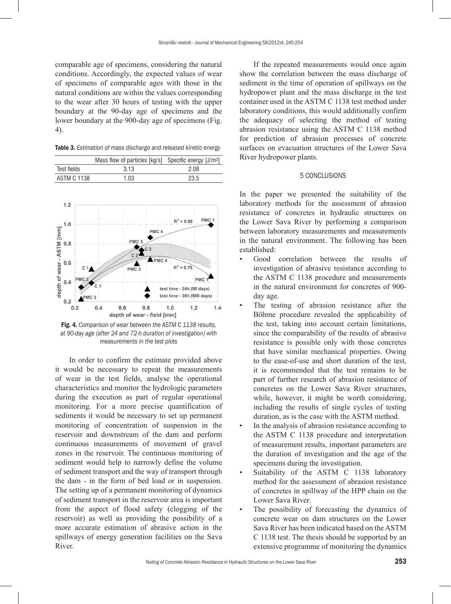comparable age of specimens, considering the natural conditions. Accordingly, the expected values of wear of specimens of comparable ages with those in the natural conditions are within the values corresponding to the wear after 30 hours of testing with the upper boundary at the 90-day age of specimens and the lower boundary at the 900-day age of specimens (Fig. 4).

Table 3. *Estimation of mass discharge and released kinetic energy*

|                    | Mass flow of particles [kg/s] Specific energy [J/m <sup>2</sup> ] |      |
|--------------------|-------------------------------------------------------------------|------|
| Test fields        | 313                                                               | 2.08 |
| <b>ASTM C 1138</b> | 1.03                                                              | 23.5 |



Fig. 4. *Comparison of wear between the ASTM C 1138 results, at 90-day age (after 24 and 72-h duration of investigation) with measurements in the test plots*

In order to confirm the estimate provided above it would be necessary to repeat the measurements of wear in the test fields, analyse the operational characteristics and monitor the hydrologic parameters during the execution as part of regular operational monitoring. For a more precise quantification of sediments it would be necessary to set up permanent monitoring of concentration of suspension in the reservoir and downstream of the dam and perform continuous measurements of movement of gravel zones in the reservoir. The continuous monitoring of sediment would help to narrowly define the volume of sediment transport and the way of transport through the dam - in the form of bed load or in suspension. The setting up of a permanent monitoring of dynamics of sediment transport in the reservoir area is important from the aspect of flood safety (clogging of the reservoir) as well as providing the possibility of a more accurate estimation of abrasive action in the spillways of energy generation facilities on the Sava River.

If the repeated measurements would once again show the correlation between the mass discharge of sediment in the time of operation of spillways on the hydropower plant and the mass discharge in the test container used in the ASTM C 1138 test method under laboratory conditions, this would additionally confirm the adequacy of selecting the method of testing abrasion resistance using the ASTM C 1138 method for prediction of abrasion processes of concrete surfaces on evacuation structures of the Lower Sava River hydropower plants.

# 5 CONCLUSIONS

In the paper we presented the suitability of the laboratory methods for the assessment of abrasion resistance of concretes in hydraulic structures on the Lower Sava River by performing a comparison between laboratory measurements and measurements in the natural environment. The following has been established:

- Good correlation between the results of investigation of abrasive resistance according to the ASTM C 1138 procedure and measurements in the natural environment for concretes of 900 day age.
- The testing of abrasion resistance after the Böhme procedure revealed the applicability of the test, taking into account certain limitations, since the comparability of the results of abrasive resistance is possible only with those concretes that have similar mechanical properties. Owing to the ease-of-use and short duration of the test, it is recommended that the test remains to be part of further research of abrasion resistance of concretes on the Lower Sava River structures, while, however, it might be worth considering, including the results of single cycles of testing duration, as is the case with the ASTM method.
- In the analysis of abrasion resistance according to the ASTM C 1138 procedure and interpretation of measurement results, important parameters are the duration of investigation and the age of the specimens during the investigation.
- Suitability of the ASTM C 1138 laboratory method for the assessment of abrasion resistance of concretes in spillway of the HPP chain on the Lower Sava River.
- The possibility of forecasting the dynamics of concrete wear on dam structures on the Lower Sava River has been indicated based on the ASTM C 1138 test. The thesis should be supported by an extensive programme of monitoring the dynamics